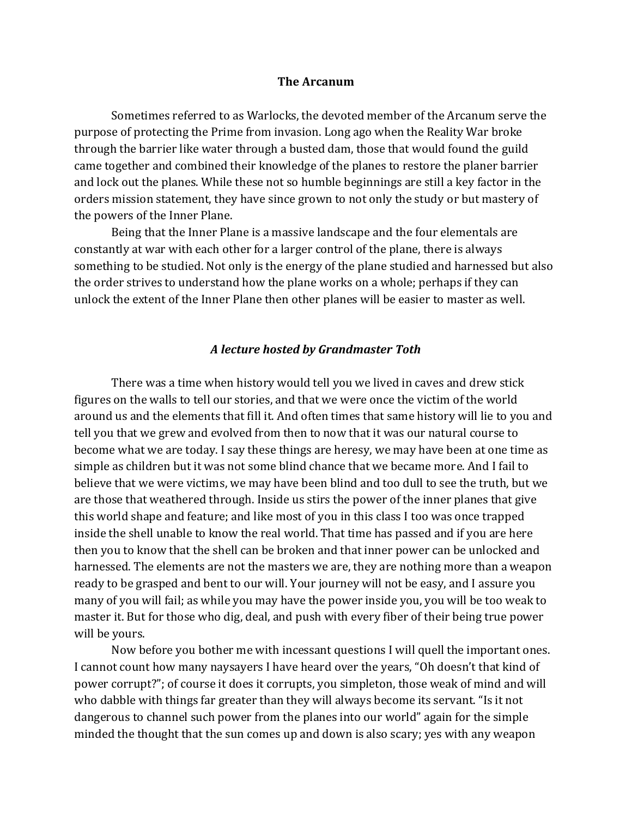## **The Arcanum**

Sometimes referred to as Warlocks, the devoted member of the Arcanum serve the purpose of protecting the Prime from invasion. Long ago when the Reality War broke through the barrier like water through a busted dam, those that would found the guild came together and combined their knowledge of the planes to restore the planer barrier and lock out the planes. While these not so humble beginnings are still a key factor in the orders mission statement, they have since grown to not only the study or but mastery of the powers of the Inner Plane.

Being that the Inner Plane is a massive landscape and the four elementals are constantly at war with each other for a larger control of the plane, there is always something to be studied. Not only is the energy of the plane studied and harnessed but also the order strives to understand how the plane works on a whole; perhaps if they can unlock the extent of the Inner Plane then other planes will be easier to master as well.

## *A lecture hosted by Grandmaster Toth*

There was a time when history would tell you we lived in caves and drew stick figures on the walls to tell our stories, and that we were once the victim of the world around us and the elements that fill it. And often times that same history will lie to you and tell you that we grew and evolved from then to now that it was our natural course to become what we are today. I say these things are heresy, we may have been at one time as simple as children but it was not some blind chance that we became more. And I fail to believe that we were victims, we may have been blind and too dull to see the truth, but we are those that weathered through. Inside us stirs the power of the inner planes that give this world shape and feature; and like most of you in this class I too was once trapped inside the shell unable to know the real world. That time has passed and if you are here then you to know that the shell can be broken and that inner power can be unlocked and harnessed. The elements are not the masters we are, they are nothing more than a weapon ready to be grasped and bent to our will. Your journey will not be easy, and I assure you many of you will fail; as while you may have the power inside you, you will be too weak to master it. But for those who dig, deal, and push with every fiber of their being true power will be yours.

Now before you bother me with incessant questions I will quell the important ones. I cannot count how many naysayers I have heard over the years, "Oh doesn't that kind of power corrupt?"; of course it does it corrupts, you simpleton, those weak of mind and will who dabble with things far greater than they will always become its servant. "Is it not dangerous to channel such power from the planes into our world" again for the simple minded the thought that the sun comes up and down is also scary; yes with any weapon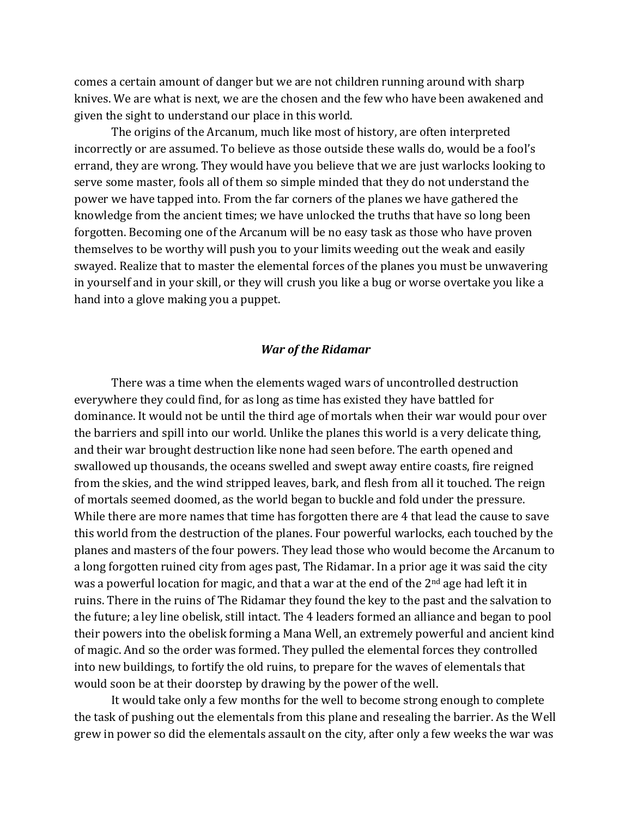comes a certain amount of danger but we are not children running around with sharp knives. We are what is next, we are the chosen and the few who have been awakened and given the sight to understand our place in this world.

The origins of the Arcanum, much like most of history, are often interpreted incorrectly or are assumed. To believe as those outside these walls do, would be a fool's errand, they are wrong. They would have you believe that we are just warlocks looking to serve some master, fools all of them so simple minded that they do not understand the power we have tapped into. From the far corners of the planes we have gathered the knowledge from the ancient times; we have unlocked the truths that have so long been forgotten. Becoming one of the Arcanum will be no easy task as those who have proven themselves to be worthy will push you to your limits weeding out the weak and easily swayed. Realize that to master the elemental forces of the planes you must be unwavering in yourself and in your skill, or they will crush you like a bug or worse overtake you like a hand into a glove making you a puppet.

## *War of the Ridamar*

There was a time when the elements waged wars of uncontrolled destruction everywhere they could find, for as long as time has existed they have battled for dominance. It would not be until the third age of mortals when their war would pour over the barriers and spill into our world. Unlike the planes this world is a very delicate thing, and their war brought destruction like none had seen before. The earth opened and swallowed up thousands, the oceans swelled and swept away entire coasts, fire reigned from the skies, and the wind stripped leaves, bark, and flesh from all it touched. The reign of mortals seemed doomed, as the world began to buckle and fold under the pressure. While there are more names that time has forgotten there are 4 that lead the cause to save this world from the destruction of the planes. Four powerful warlocks, each touched by the planes and masters of the four powers. They lead those who would become the Arcanum to a long forgotten ruined city from ages past, The Ridamar. In a prior age it was said the city was a powerful location for magic, and that a war at the end of the  $2<sup>nd</sup>$  age had left it in ruins. There in the ruins of The Ridamar they found the key to the past and the salvation to the future; a ley line obelisk, still intact. The 4 leaders formed an alliance and began to pool their powers into the obelisk forming a Mana Well, an extremely powerful and ancient kind of magic. And so the order was formed. They pulled the elemental forces they controlled into new buildings, to fortify the old ruins, to prepare for the waves of elementals that would soon be at their doorstep by drawing by the power of the well.

It would take only a few months for the well to become strong enough to complete the task of pushing out the elementals from this plane and resealing the barrier. As the Well grew in power so did the elementals assault on the city, after only a few weeks the war was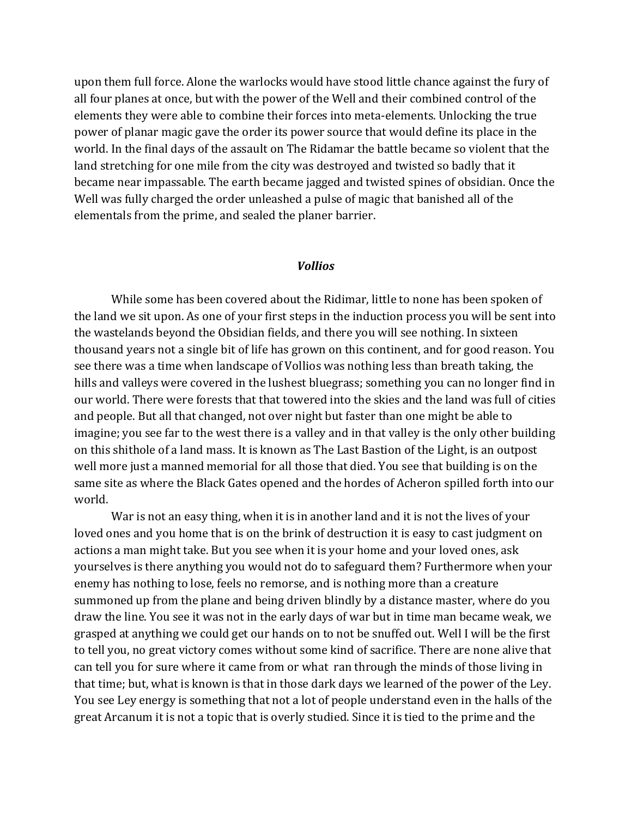upon them full force. Alone the warlocks would have stood little chance against the fury of all four planes at once, but with the power of the Well and their combined control of the elements they were able to combine their forces into meta-elements. Unlocking the true power of planar magic gave the order its power source that would define its place in the world. In the final days of the assault on The Ridamar the battle became so violent that the land stretching for one mile from the city was destroyed and twisted so badly that it became near impassable. The earth became jagged and twisted spines of obsidian. Once the Well was fully charged the order unleashed a pulse of magic that banished all of the elementals from the prime, and sealed the planer barrier.

## *Vollios*

While some has been covered about the Ridimar, little to none has been spoken of the land we sit upon. As one of your first steps in the induction process you will be sent into the wastelands beyond the Obsidian fields, and there you will see nothing. In sixteen thousand years not a single bit of life has grown on this continent, and for good reason. You see there was a time when landscape of Vollios was nothing less than breath taking, the hills and valleys were covered in the lushest bluegrass; something you can no longer find in our world. There were forests that that towered into the skies and the land was full of cities and people. But all that changed, not over night but faster than one might be able to imagine; you see far to the west there is a valley and in that valley is the only other building on this shithole of a land mass. It is known as The Last Bastion of the Light, is an outpost well more just a manned memorial for all those that died. You see that building is on the same site as where the Black Gates opened and the hordes of Acheron spilled forth into our world.

War is not an easy thing, when it is in another land and it is not the lives of your loved ones and you home that is on the brink of destruction it is easy to cast judgment on actions a man might take. But you see when it is your home and your loved ones, ask yourselves is there anything you would not do to safeguard them? Furthermore when your enemy has nothing to lose, feels no remorse, and is nothing more than a creature summoned up from the plane and being driven blindly by a distance master, where do you draw the line. You see it was not in the early days of war but in time man became weak, we grasped at anything we could get our hands on to not be snuffed out. Well I will be the first to tell you, no great victory comes without some kind of sacrifice. There are none alive that can tell you for sure where it came from or what ran through the minds of those living in that time; but, what is known is that in those dark days we learned of the power of the Ley. You see Ley energy is something that not a lot of people understand even in the halls of the great Arcanum it is not a topic that is overly studied. Since it is tied to the prime and the